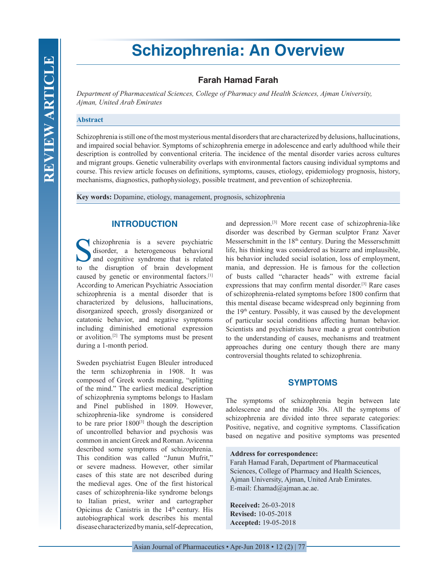# **Schizophrenia: An Overview**

# **Farah Hamad Farah**

*Department of Pharmaceutical Sciences, College of Pharmacy and Health Sciences, Ajman University, Ajman, United Arab Emirates*

#### **Abstract**

Schizophrenia is still one of the most mysterious mental disorders that are characterized by delusions, hallucinations, and impaired social behavior. Symptoms of schizophrenia emerge in adolescence and early adulthood while their description is controlled by conventional criteria. The incidence of the mental disorder varies across cultures and migrant groups. Genetic vulnerability overlaps with environmental factors causing individual symptoms and course. This review article focuses on definitions, symptoms, causes, etiology, epidemiology prognosis, history, mechanisms, diagnostics, pathophysiology, possible treatment, and prevention of schizophrenia.

**Key words:** Dopamine, etiology, management, prognosis, schizophrenia

# **INTRODUCTION**

Schizophrenia is a severe psychiatric<br>disorder, a heterogeneous behavioral<br>and cognitive syndrome that is related<br>to the discuption of brain development disorder, a heterogeneous behavioral and cognitive syndrome that is related to the disruption of brain development caused by genetic or environmental factors.[1] According to American Psychiatric Association schizophrenia is a mental disorder that is characterized by delusions, hallucinations, disorganized speech, grossly disorganized or catatonic behavior, and negative symptoms including diminished emotional expression or avolition.[2] The symptoms must be present during a 1-month period.

Sweden psychiatrist Eugen Bleuler introduced the term schizophrenia in 1908. It was composed of Greek words meaning, "splitting of the mind." The earliest medical description of schizophrenia symptoms belongs to Haslam and Pinel published in 1809. However, schizophrenia-like syndrome is considered to be rare prior  $1800^{[3]}$  though the description of uncontrolled behavior and psychosis was common in ancient Greek and Roman. Avicenna described some symptoms of schizophrenia. This condition was called "Junun Mufrit," or severe madness. However, other similar cases of this state are not described during the medieval ages. One of the first historical cases of schizophrenia-like syndrome belongs to Italian priest, writer and cartographer Opicinus de Canistris in the 14<sup>th</sup> century. His autobiographical work describes his mental disease characterized by mania, self-deprecation,

and depression.[3] More recent case of schizophrenia-like disorder was described by German sculptor Franz Xaver Messerschmitt in the 18th century. During the Messerschmitt life, his thinking was considered as bizarre and implausible, his behavior included social isolation, loss of employment, mania, and depression. He is famous for the collection of busts called "character heads" with extreme facial expressions that may confirm mental disorder.[3] Rare cases of schizophrenia-related symptoms before 1800 confirm that this mental disease became widespread only beginning from the 19<sup>th</sup> century. Possibly, it was caused by the development of particular social conditions affecting human behavior. Scientists and psychiatrists have made a great contribution to the understanding of causes, mechanisms and treatment approaches during one century though there are many controversial thoughts related to schizophrenia.

# **SYMPTOMS**

The symptoms of schizophrenia begin between late adolescence and the middle 30s. All the symptoms of schizophrenia are divided into three separate categories: Positive, negative, and cognitive symptoms. Classification based on negative and positive symptoms was presented

#### **Address for correspondence:**

Farah Hamad Farah, Department of Pharmaceutical Sciences, College of Pharmacy and Health Sciences, Ajman University, Ajman, United Arab Emirates. E-mail: f.hamad@ajman.ac.ae.

**Received:** 26-03-2018 **Revised:** 10-05-2018 **Accepted:** 19-05-2018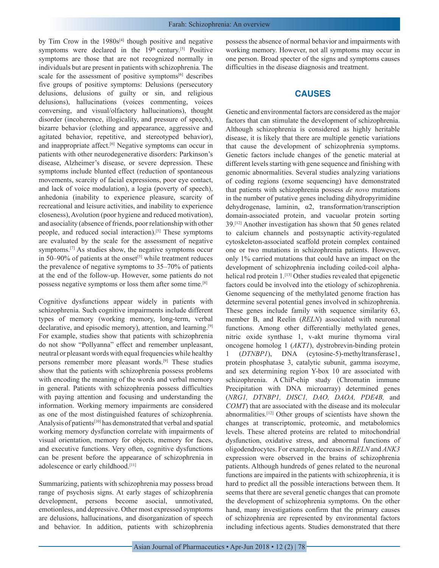by Tim Crow in the  $1980s^{[4]}$  though positive and negative symptoms were declared in the  $19<sup>th</sup>$  century.<sup>[5]</sup> Positive symptoms are those that are not recognized normally in individuals but are present in patients with schizophrenia. The scale for the assessment of positive symptoms<sup>[6]</sup> describes five groups of positive symptoms: Delusions (persecutory delusions, delusions of guilty or sin, and religious delusions), hallucinations (voices commenting, voices conversing, and visual/olfactory hallucinations), thought disorder (incoherence, illogicality, and pressure of speech), bizarre behavior (clothing and appearance, aggressive and agitated behavior, repetitive, and stereotyped behavior), and inappropriate affect.<sup>[6]</sup> Negative symptoms can occur in patients with other neurodegenerative disorders: Parkinson's disease, Alzheimer's disease, or severe depression. These symptoms include blunted effect (reduction of spontaneous movements, scarcity of facial expressions, poor eye contact, and lack of voice modulation), a logia (poverty of speech), anhedonia (inability to experience pleasure, scarcity of recreational and leisure activities, and inability to experience closeness), Avolution (poor hygiene and reduced motivation), and asociality (absence of friends, poor relationship with other people, and reduced social interaction).[5] These symptoms are evaluated by the scale for the assessment of negative symptoms.[7] As studies show, the negative symptoms occur in 50–90% of patients at the onset<sup>[5]</sup> while treatment reduces the prevalence of negative symptoms to 35–70% of patients at the end of the follow-up. However, some patients do not possess negative symptoms or loss them after some time.[8]

Cognitive dysfunctions appear widely in patients with schizophrenia. Such cognitive impairments include different types of memory (working memory, long-term, verbal declarative, and episodic memory), attention, and learning.[9] For example, studies show that patients with schizophrenia do not show "Pollyanna" effect and remember unpleasant, neutral or pleasant words with equal frequencies while healthy persons remember more pleasant words.[9] These studies show that the patients with schizophrenia possess problems with encoding the meaning of the words and verbal memory in general. Patients with schizophrenia possess difficulties with paying attention and focusing and understanding the information. Working memory impairments are considered as one of the most distinguished features of schizophrenia. Analysis of patients[10] has demonstrated that verbal and spatial working memory dysfunction correlate with impairments of visual orientation, memory for objects, memory for faces, and executive functions. Very often, cognitive dysfunctions can be present before the appearance of schizophrenia in adolescence or early childhood.[11]

Summarizing, patients with schizophrenia may possess broad range of psychosis signs. At early stages of schizophrenia development, persons become asocial, unmotivated, emotionless, and depressive. Other most expressed symptoms are delusions, hallucinations, and disorganization of speech and behavior. In addition, patients with schizophrenia possess the absence of normal behavior and impairments with working memory. However, not all symptoms may occur in one person. Broad specter of the signs and symptoms causes difficulties in the disease diagnosis and treatment.

#### **CAUSES**

Genetic and environmental factors are considered as the major factors that can stimulate the development of schizophrenia. Although schizophrenia is considered as highly heritable disease, it is likely that there are multiple genetic variations that cause the development of schizophrenia symptoms. Genetic factors include changes of the genetic material at different levels starting with gene sequence and finishing with genomic abnormalities. Several studies analyzing variations of coding regions (exome sequencing) have demonstrated that patients with schizophrenia possess *de novo* mutations in the number of putative genes including dihydropyrimidine dehydrogenase, laminin, α2, transformation/transcription domain-associated protein, and vacuolar protein sorting 39.[12] Another investigation has shown that 50 genes related to calcium channels and postsynaptic activity-regulated cytoskeleton-associated scaffold protein complex contained one or two mutations in schizophrenia patients. However, only 1% carried mutations that could have an impact on the development of schizophrenia including coiled-coil alphahelical rod protein 1.<sup>[13]</sup> Other studies revealed that epigenetic factors could be involved into the etiology of schizophrenia. Genome sequencing of the methylated genome fraction has determine several potential genes involved in schizophrenia. These genes include family with sequence similarity 63, member B, and Reelin (*RELN*) associated with neuronal functions. Among other differentially methylated genes, nitric oxide synthase 1, v-akt murine thymoma viral oncogene homolog 1 (*AKT1*), dystrobrevin-binding protein 1 (*DTNBP1*), DNA (cytosine-5)-methyltransferase1, protein phosphatase 3, catalytic subunit, gamma isozyme, and sex determining region Y-box 10 are associated with schizophrenia. A ChiP-chip study (Chromatin immune Precipitation with DNA microarray) determined genes (*NRG1, DTNBP1, DISC1, DAO, DAOA, PDE4B,* and *COMT*) that are associated with the disease and its molecular abnormalities.[12] Other groups of scientists have shown the changes at transcriptomic, proteomic, and metabolomics levels. These altered proteins are related to mitochondrial dysfunction, oxidative stress, and abnormal functions of oligodendrocytes. For example, decreases in *RELN* and *ANK3* expression were observed in the brains of schizophrenia patients. Although hundreds of genes related to the neuronal functions are impaired in the patients with schizophrenia, it is hard to predict all the possible interactions between them. It seems that there are several genetic changes that can promote the development of schizophrenia symptoms. On the other hand, many investigations confirm that the primary causes of schizophrenia are represented by environmental factors including infectious agents. Studies demonstrated that there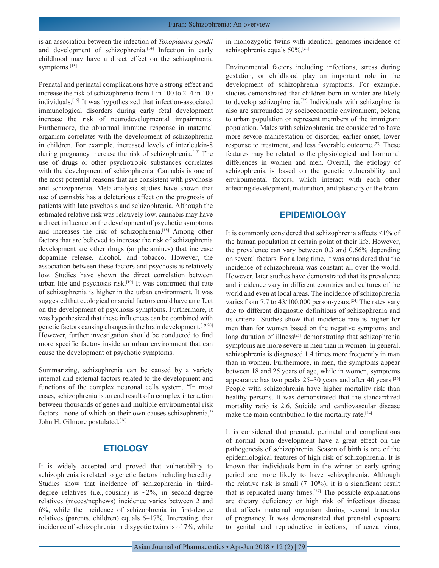is an association between the infection of *Toxoplasma gondii*  and development of schizophrenia.<sup>[14]</sup> Infection in early childhood may have a direct effect on the schizophrenia symptoms.[15]

Prenatal and perinatal complications have a strong effect and increase the risk of schizophrenia from 1 in 100 to 2–4 in 100 individuals.[16] It was hypothesized that infection-associated immunological disorders during early fetal development increase the risk of neurodevelopmental impairments. Furthermore, the abnormal immune response in maternal organism correlates with the development of schizophrenia in children. For example, increased levels of interleukin-8 during pregnancy increase the risk of schizophrenia.<sup>[17]</sup> The use of drugs or other psychotropic substances correlates with the development of schizophrenia. Cannabis is one of the most potential reasons that are consistent with psychosis and schizophrenia. Meta-analysis studies have shown that use of cannabis has a deleterious effect on the prognosis of patients with late psychosis and schizophrenia. Although the estimated relative risk was relatively low, cannabis may have a direct influence on the development of psychotic symptoms and increases the risk of schizophrenia.<sup>[18]</sup> Among other factors that are believed to increase the risk of schizophrenia development are other drugs (amphetamines) that increase dopamine release, alcohol, and tobacco. However, the association between these factors and psychosis is relatively low. Studies have shown the direct correlation between urban life and psychosis risk.<sup>[19]</sup> It was confirmed that rate of schizophrenia is higher in the urban environment. It was suggested that ecological or social factors could have an effect on the development of psychosis symptoms. Furthermore, it was hypothesized that these influences can be combined with genetic factors causing changes in the brain development.[19,20] However, further investigation should be conducted to find more specific factors inside an urban environment that can cause the development of psychotic symptoms.

Summarizing, schizophrenia can be caused by a variety internal and external factors related to the development and functions of the complex neuronal cells system. "In most cases, schizophrenia is an end result of a complex interaction between thousands of genes and multiple environmental risk factors - none of which on their own causes schizophrenia," John H. Gilmore postulated.[16]

# **ETIOLOGY**

It is widely accepted and proved that vulnerability to schizophrenia is related to genetic factors including heredity. Studies show that incidence of schizophrenia in thirddegree relatives (i.e., cousins) is  $\sim$ 2%, in second-degree relatives (nieces/nephews) incidence varies between 2 and 6%, while the incidence of schizophrenia in first-degree relatives (parents, children) equals 6–17%. Interesting, that incidence of schizophrenia in dizygotic twins is  $\sim$ 17%, while in monozygotic twins with identical genomes incidence of schizophrenia equals 50%.[21]

Environmental factors including infections, stress during gestation, or childhood play an important role in the development of schizophrenia symptoms. For example, studies demonstrated that children born in winter are likely to develop schizophrenia.[22] Individuals with schizophrenia also are surrounded by socioeconomic environment, belong to urban population or represent members of the immigrant population. Males with schizophrenia are considered to have more severe manifestation of disorder, earlier onset, lower response to treatment, and less favorable outcome.[23] These features may be related to the physiological and hormonal differences in women and men. Overall, the etiology of schizophrenia is based on the genetic vulnerability and environmental factors, which interact with each other affecting development, maturation, and plasticity of the brain.

#### **EPIDEMIOLOGY**

It is commonly considered that schizophrenia affects <1% of the human population at certain point of their life. However, the prevalence can vary between 0.3 and 0.66% depending on several factors. For a long time, it was considered that the incidence of schizophrenia was constant all over the world. However, later studies have demonstrated that its prevalence and incidence vary in different countries and cultures of the world and even at local areas. The incidence of schizophrenia varies from 7.7 to 43/100,000 person-years.<sup>[24]</sup> The rates vary due to different diagnostic definitions of schizophrenia and its criteria. Studies show that incidence rate is higher for men than for women based on the negative symptoms and long duration of illness<sup>[25]</sup> demonstrating that schizophrenia symptoms are more severe in men than in women. In general, schizophrenia is diagnosed 1.4 times more frequently in man than in women. Furthermore, in men, the symptoms appear between 18 and 25 years of age, while in women, symptoms appearance has two peaks 25–30 years and after 40 years.[26] People with schizophrenia have higher mortality risk than healthy persons. It was demonstrated that the standardized mortality ratio is 2.6. Suicide and cardiovascular disease make the main contribution to the mortality rate.<sup>[24]</sup>

It is considered that prenatal, perinatal and complications of normal brain development have a great effect on the pathogenesis of schizophrenia. Season of birth is one of the epidemiological features of high risk of schizophrenia. It is known that individuals born in the winter or early spring period are more likely to have schizophrenia. Although the relative risk is small  $(7-10\%)$ , it is a significant result that is replicated many times.[27] The possible explanations are dietary deficiency or high risk of infectious disease that affects maternal organism during second trimester of pregnancy. It was demonstrated that prenatal exposure to genital and reproductive infections, influenza virus,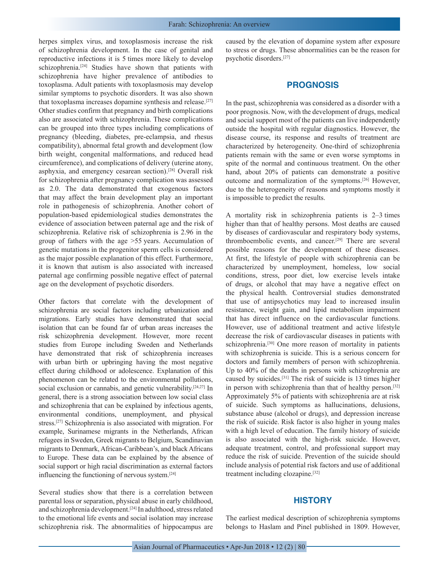herpes simplex virus, and toxoplasmosis increase the risk of schizophrenia development. In the case of genital and reproductive infections it is 5 times more likely to develop schizophrenia.<sup>[24]</sup> Studies have shown that patients with schizophrenia have higher prevalence of antibodies to toxoplasma. Adult patients with toxoplasmosis may develop similar symptoms to psychotic disorders. It was also shown that toxoplasma increases dopamine synthesis and release.[27] Other studies confirm that pregnancy and birth complications also are associated with schizophrenia. These complications can be grouped into three types including complications of pregnancy (bleeding, diabetes, pre-eclampsia, and rhesus compatibility), abnormal fetal growth and development (low birth weight, congenital malformations, and reduced head circumference), and complications of delivery (uterine atony, asphyxia, and emergency cesarean section).[28] Overall risk for schizophrenia after pregnancy complication was assessed as 2.0. The data demonstrated that exogenous factors that may affect the brain development play an important role in pathogenesis of schizophrenia. Another cohort of population-based epidemiological studies demonstrates the evidence of association between paternal age and the risk of schizophrenia. Relative risk of schizophrenia is 2.96 in the group of fathers with the age >55 years. Accumulation of genetic mutations in the progenitor sperm cells is considered as the major possible explanation of this effect. Furthermore, it is known that autism is also associated with increased paternal age confirming possible negative effect of paternal age on the development of psychotic disorders.

Other factors that correlate with the development of schizophrenia are social factors including urbanization and migrations. Early studies have demonstrated that social isolation that can be found far of urban areas increases the risk schizophrenia development. However, more recent studies from Europe including Sweden and Netherlands have demonstrated that risk of schizophrenia increases with urban birth or upbringing having the most negative effect during childhood or adolescence. Explanation of this phenomenon can be related to the environmental pollutions, social exclusion or cannabis, and genetic vulnerability.<sup>[24,27]</sup> In general, there is a strong association between low social class and schizophrenia that can be explained by infectious agents, environmental conditions, unemployment, and physical stress.[27] Schizophrenia is also associated with migration. For example, Surinamese migrants in the Netherlands, African refugees in Sweden, Greek migrants to Belgium, Scandinavian migrants to Denmark, African-Caribbean's, and black Africans to Europe. These data can be explained by the absence of social support or high racial discrimination as external factors influencing the functioning of nervous system.[24]

Several studies show that there is a correlation between parental loss or separation, physical abuse in early childhood, and schizophrenia development.[24] In adulthood, stress related to the emotional life events and social isolation may increase schizophrenia risk. The abnormalities of hippocampus are caused by the elevation of dopamine system after exposure to stress or drugs. These abnormalities can be the reason for psychotic disorders.[27]

#### **PROGNOSIS**

In the past, schizophrenia was considered as a disorder with a poor prognosis. Now, with the development of drugs, medical and social support most of the patients can live independently outside the hospital with regular diagnostics. However, the disease course, its response and results of treatment are characterized by heterogeneity. One-third of schizophrenia patients remain with the same or even worse symptoms in spite of the normal and continuous treatment. On the other hand, about 20% of patients can demonstrate a positive outcome and normalization of the symptoms.[26] However, due to the heterogeneity of reasons and symptoms mostly it is impossible to predict the results.

A mortality risk in schizophrenia patients is 2–3 times higher than that of healthy persons. Most deaths are caused by diseases of cardiovascular and respiratory body systems, thromboembolic events, and cancer.[29] There are several possible reasons for the development of these diseases. At first, the lifestyle of people with schizophrenia can be characterized by unemployment, homeless, low social conditions, stress, poor diet, low exercise levels intake of drugs, or alcohol that may have a negative effect on the physical health. Controversial studies demonstrated that use of antipsychotics may lead to increased insulin resistance, weight gain, and lipid metabolism impairment that has direct influence on the cardiovascular functions. However, use of additional treatment and active lifestyle decrease the risk of cardiovascular diseases in patients with schizophrenia.<sup>[30]</sup> One more reason of mortality in patients with schizophrenia is suicide. This is a serious concern for doctors and family members of person with schizophrenia. Up to 40% of the deaths in persons with schizophrenia are caused by suicides.[31] The risk of suicide is 13 times higher in person with schizophrenia than that of healthy person.<sup>[32]</sup> Approximately 5% of patients with schizophrenia are at risk of suicide. Such symptoms as hallucinations, delusions, substance abuse (alcohol or drugs), and depression increase the risk of suicide. Risk factor is also higher in young males with a high level of education. The family history of suicide is also associated with the high-risk suicide. However, adequate treatment, control, and professional support may reduce the risk of suicide. Prevention of the suicide should include analysis of potential risk factors and use of additional treatment including clozapine.[32]

#### **HISTORY**

The earliest medical description of schizophrenia symptoms belongs to Haslam and Pinel published in 1809. However,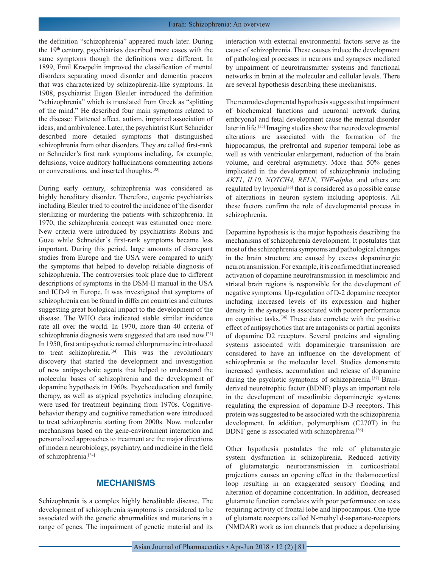the definition "schizophrenia" appeared much later. During the 19<sup>th</sup> century, psychiatrists described more cases with the same symptoms though the definitions were different. In 1899, Emil Kraepelin improved the classification of mental disorders separating mood disorder and dementia praecox that was characterized by schizophrenia-like symptoms. In 1908, psychiatrist Eugen Bleuler introduced the definition "schizophrenia" which is translated from Greek as "splitting of the mind." He described four main symptoms related to the disease: Flattened affect, autism, impaired association of ideas, and ambivalence. Later, the psychiatrist Kurt Schneider described more detailed symptoms that distinguished schizophrenia from other disorders. They are called first-rank or Schneider's first rank symptoms including, for example, delusions, voice auditory hallucinations commenting actions or conversations, and inserted thoughts.[33]

During early century, schizophrenia was considered as highly hereditary disorder. Therefore, eugenic psychiatrists including Bleuler tried to control the incidence of the disorder sterilizing or murdering the patients with schizophrenia. In 1970, the schizophrenia concept was estimated once more. New criteria were introduced by psychiatrists Robins and Guze while Schneider's first-rank symptoms became less important. During this period, large amounts of discrepant studies from Europe and the USA were compared to unify the symptoms that helped to develop reliable diagnosis of schizophrenia. The controversies took place due to different descriptions of symptoms in the DSM-II manual in the USA and ICD-9 in Europe. It was investigated that symptoms of schizophrenia can be found in different countries and cultures suggesting great biological impact to the development of the disease. The WHO data indicated stable similar incidence rate all over the world. In 1970, more than 40 criteria of schizophrenia diagnosis were suggested that are used now.[27] In 1950, first antipsychotic named chlorpromazine introduced to treat schizophrenia.<sup>[34]</sup> This was the revolutionary discovery that started the development and investigation of new antipsychotic agents that helped to understand the molecular bases of schizophrenia and the development of dopamine hypothesis in 1960s. Psychoeducation and family therapy, as well as atypical psychotics including clozapine, were used for treatment beginning from 1970s. Cognitivebehavior therapy and cognitive remediation were introduced to treat schizophrenia starting from 2000s. Now, molecular mechanisms based on the gene-environment interaction and personalized approaches to treatment are the major directions of modern neurobiology, psychiatry, and medicine in the field of schizophrenia.[34]

# **MECHANISMS**

Schizophrenia is a complex highly hereditable disease. The development of schizophrenia symptoms is considered to be associated with the genetic abnormalities and mutations in a range of genes. The impairment of genetic material and its interaction with external environmental factors serve as the cause of schizophrenia. These causes induce the development of pathological processes in neurons and synapses mediated by impairment of neurotransmitter systems and functional networks in brain at the molecular and cellular levels. There are several hypothesis describing these mechanisms.

The neurodevelopmental hypothesis suggests that impairment of biochemical functions and neuronal network during embryonal and fetal development cause the mental disorder later in life.[35] Imaging studies show that neurodevelopmental alterations are associated with the formation of the hippocampus, the prefrontal and superior temporal lobe as well as with ventricular enlargement, reduction of the brain volume, and cerebral asymmetry. More than 50% genes implicated in the development of schizophrenia including *AKT1*, *IL10*, *NOTCH4, RELN, TNF-alpha,* and others are regulated by hypoxia[36] that is considered as a possible cause of alterations in neuron system including apoptosis. All these factors confirm the role of developmental process in schizophrenia.

Dopamine hypothesis is the major hypothesis describing the mechanisms of schizophrenia development. It postulates that most of the schizophrenia symptoms and pathological changes in the brain structure are caused by excess dopaminergic neurotransmission. For example, it is confirmed that increased activation of dopamine neurotransmission in mesolimbic and striatal brain regions is responsible for the development of negative symptoms. Up-regulation of D-2 dopamine receptor including increased levels of its expression and higher density in the synapse is associated with poorer performance on cognitive tasks.[36] These data correlate with the positive effect of antipsychotics that are antagonists or partial agonists of dopamine D2 receptors. Several proteins and signaling systems associated with dopaminergic transmission are considered to have an influence on the development of schizophrenia at the molecular level. Studies demonstrate increased synthesis, accumulation and release of dopamine during the psychotic symptoms of schizophrenia.[37] Brainderived neurotrophic factor (BDNF) plays an important role in the development of mesolimbic dopaminergic systems regulating the expression of dopamine D-3 receptors. This protein was suggested to be associated with the schizophrenia development. In addition, polymorphism (C270T) in the BDNF gene is associated with schizophrenia.<sup>[36]</sup>

Other hypothesis postulates the role of glutamatergic system dysfunction in schizophrenia. Reduced activity of glutamatergic neurotransmission in corticostriatal projections causes an opening effect in the thalamocortical loop resulting in an exaggerated sensory flooding and alteration of dopamine concentration. In addition, decreased glutamate function correlates with poor performance on tests requiring activity of frontal lobe and hippocampus. One type of glutamate receptors called N-methyl d-aspartate-receptors (NMDAR) work as ion channels that produce a depolarising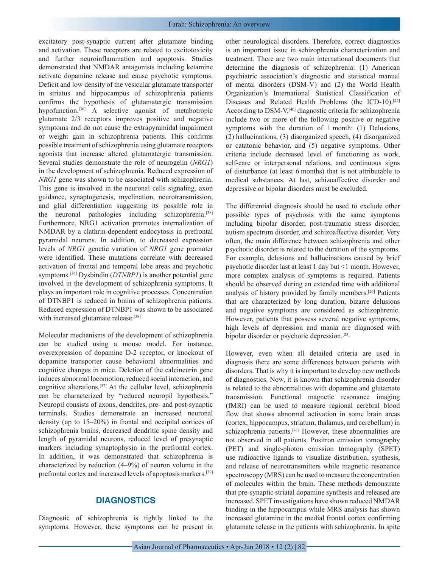excitatory post-synaptic current after glutamate binding and activation. These receptors are related to excitotoxicity and further neuroinflammation and apoptosis. Studies demonstrated that NMDAR antagonists including ketamine activate dopamine release and cause psychotic symptoms. Deficit and low density of the vesicular glutamate transporter in striatus and hippocampus of schizophrenia patients confirms the hypothesis of glutamatergic transmission hypofunction.[36] A selective agonist of metabotropic glutamate 2/3 receptors improves positive and negative symptoms and do not cause the extrapyramidal impairment or weight gain in schizophrenia patients. This confirms possible treatment of schizophrenia using glutamate receptors agonists that increase altered glutamatergic transmission. Several studies demonstrate the role of neurogelin (*NRG1*) in the development of schizophrenia. Reduced expression of *NRG1* gene was shown to be associated with schizophrenia. This gene is involved in the neuronal cells signaling, axon guidance, synaptogenesis, myelination, neurotransmission, and glial differentiation suggesting its possible role in the neuronal pathologies including schizophrenia.[38] Furthermore, NRG1 activation promotes internalization of NMDAR by a clathrin-dependent endocytosis in prefrontal pyramidal neurons. In addition, to decreased expression levels of *NRG1* genetic variation of *NRG1* gene promoter were identified. These mutations correlate with decreased activation of frontal and temporal lobe areas and psychotic symptoms.[36] Dysbindin (*DTNBP1*) is another potential gene involved in the development of schizophrenia symptoms. It plays an important role in cognitive processes. Concentration of DTNBP1 is reduced in brains of schizophrenia patients. Reduced expression of DTNBP1 was shown to be associated with increased glutamate release.<sup>[38]</sup>

Molecular mechanisms of the development of schizophrenia can be studied using a mouse model. For instance, overexpression of dopamine D-2 receptor, or knockout of dopamine transporter cause behavioral abnormalities and cognitive changes in mice. Deletion of the calcineurin gene induces abnormal locomotion, reduced social interaction, and cognitive alterations.[37] At the cellular level, schizophrenia can be characterized by "reduced neuropil hypothesis." Neuropil consists of axons, dendrites, pre- and post-synaptic terminals. Studies demonstrate an increased neuronal density (up to 15–20%) in frontal and occipital cortices of schizophrenia brains, decreased dendritic spine density and length of pyramidal neurons, reduced level of presynaptic markers including synaptophysin in the prefrontal cortex. In addition, it was demonstrated that schizophrenia is characterized by reduction (4–9%) of neuron volume in the prefrontal cortex and increased levels of apoptosis markers.[39]

# **DIAGNOSTICS**

Diagnostic of schizophrenia is tightly linked to the symptoms. However, these symptoms can be present in other neurological disorders. Therefore, correct diagnostics is an important issue in schizophrenia characterization and treatment. There are two main international documents that determine the diagnosis of schizophrenia: (1) American psychiatric association's diagnostic and statistical manual of mental disorders (DSM-V) and (2) the World Health Organization's International Statistical Classification of Diseases and Related Health Problems (the ICD-10).<sup>[25]</sup> According to DSM-V,[40] diagnostic criteria for schizophrenia include two or more of the following positive or negative symptoms with the duration of 1 month: (1) Delusions, (2) hallucinations, (3) disorganized speech, (4) disorganized or catatonic behavior, and (5) negative symptoms. Other criteria include decreased level of functioning as work, self-care or interpersonal relations, and continuous signs of disturbance (at least 6 months) that is not attributable to medical substances. At last, schizoaffective disorder and depressive or bipolar disorders must be excluded.

The differential diagnosis should be used to exclude other possible types of psychosis with the same symptoms including bipolar disorder, post-traumatic stress disorder, autism spectrum disorder, and schizoaffective disorder. Very often, the main difference between schizophrenia and other psychotic disorder is related to the duration of the symptoms. For example, delusions and hallucinations caused by brief psychotic disorder last at least 1 day but <1 month. However, more complex analysis of symptoms is required. Patients should be observed during an extended time with additional analysis of history provided by family members.[26] Patients that are characterized by long duration, bizarre delusions and negative symptoms are considered as schizophrenic. However, patients that possess several negative symptoms, high levels of depression and mania are diagnosed with bipolar disorder or psychotic depression.[25]

However, even when all detailed criteria are used in diagnosis there are some differences between patients with disorders. That is why it is important to develop new methods of diagnostics. Now, it is known that schizophrenia disorder is related to the abnormalities with dopamine and glutamate transmission. Functional magnetic resonance imaging (fMRI) can be used to measure regional cerebral blood flow that shows abnormal activation in some brain areas (cortex, hippocampus, striatum, thalamus, and cerebellum) in schizophrenia patients.[41] However, these abnormalities are not observed in all patients. Positron emission tomography (PET) and single-photon emission tomography (SPET) use radioactive ligands to visualize distribution, synthesis, and release of neurotransmitters while magnetic resonance spectroscopy (MRS) can be used to measure the concentration of molecules within the brain. These methods demonstrate that pre-synaptic striatal dopamine synthesis and released are increased. SPET investigations have shown reduced NMDAR binding in the hippocampus while MRS analysis has shown increased glutamine in the medial frontal cortex confirming glutamate release in the patients with schizophrenia. In spite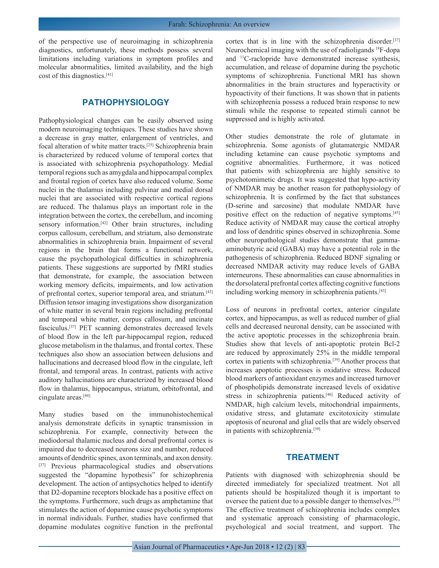of the perspective use of neuroimaging in schizophrenia diagnostics, unfortunately, these methods possess several limitations including variations in symptom profiles and molecular abnormalities, limited availability, and the high cost of this diagnostics.[41]

# **PATHOPHYSIOLOGY**

Pathophysiological changes can be easily observed using modern neuroimaging techniques. These studies have shown a decrease in gray matter, enlargement of ventricles, and focal alteration of white matter tracts.[25] Schizophrenia brain is characterized by reduced volume of temporal cortex that is associated with schizophrenia psychopathology. Medial temporal regions such as amygdala and hippocampal complex and frontal region of cortex have also reduced volume. Some nuclei in the thalamus including pulvinar and medial dorsal nuclei that are associated with respective cortical regions are reduced. The thalamus plays an important role in the integration between the cortex, the cerebellum, and incoming sensory information.<sup>[42]</sup> Other brain structures, including corpus callosum, cerebellum, and striatum, also demonstrate abnormalities in schizophrenia brain. Impairment of several regions in the brain that forms a functional network, cause the psychopathological difficulties in schizophrenia patients. These suggestions are supported by fMRI studies that demonstrate, for example, the association between working memory deficits, impairments, and low activation of prefrontal cortex, superior temporal area, and striatum.[43] Diffusion tensor imaging investigations show disorganization of white matter in several brain regions including prefrontal and temporal white matter, corpus callosum, and uncinate fasciculus.[37] PET scanning demonstrates decreased levels of blood flow in the left par-hippocampal region, reduced glucose metabolism in the thalamus, and frontal cortex. These techniques also show an association between delusions and hallucinations and decreased blood flow in the cingulate, left frontal, and temporal areas. In contrast, patients with active auditory hallucinations are characterized by increased blood flow in thalamus, hippocampus, striatum, orbitofrontal, and cingulate areas.[44]

Many studies based on the immunohistochemical analysis demonstrate deficits in synaptic transmission in schizophrenia. For example, connectivity between the mediodorsal thalamic nucleus and dorsal prefrontal cortex is impaired due to decreased neurons size and number, reduced amounts of dendritic spines, axon terminals, and axon density. [37] Previous pharmacological studies and observations suggested the "dopamine hypothesis" for schizophrenia development. The action of antipsychotics helped to identify that D2-dopamine receptors blockade has a positive effect on the symptoms. Furthermore, such drugs as amphetamine that stimulates the action of dopamine cause psychotic symptoms in normal individuals. Further, studies have confirmed that dopamine modulates cognitive function in the prefrontal

cortex that is in line with the schizophrenia disorder.[37] Neurochemical imaging with the use of radioligands 18F-dopa and 11C-raclopride have demonstrated increase synthesis, accumulation, and release of dopamine during the psychotic symptoms of schizophrenia. Functional MRI has shown abnormalities in the brain structures and hyperactivity or hypoactivity of their functions. It was shown that in patients with schizophrenia possess a reduced brain response to new stimuli while the response to repeated stimuli cannot be suppressed and is highly activated.

Other studies demonstrate the role of glutamate in schizophrenia. Some agonists of glutamatergic NMDAR including ketamine can cause psychotic symptoms and cognitive abnormalities. Furthermore, it was noticed that patients with schizophrenia are highly sensitive to psychotomimetic drugs. It was suggested that hypo-activity of NMDAR may be another reason for pathophysiology of schizophrenia. It is confirmed by the fact that substances (D-serine and sarcosine) that modulate NMDAR have positive effect on the reduction of negative symptoms.[45] Reduce activity of NMDAR may cause the cortical atrophy and loss of dendritic spines observed in schizophrenia. Some other neuropathological studies demonstrate that gammaaminobutyric acid (GABA) may have a potential role in the pathogenesis of schizophrenia. Reduced BDNF signaling or decreased NMDAR activity may reduce levels of GABA interneurons. These abnormalities can cause abnormalities in the dorsolateral prefrontal cortex affecting cognitive functions including working memory in schizophrenia patients.[43]

Loss of neurons in prefrontal cortex, anterior cingulate cortex, and hippocampus, as well as reduced number of glial cells and decreased neuronal density, can be associated with the active apoptotic processes in the schizophrenia brain. Studies show that levels of anti-apoptotic protein Bcl-2 are reduced by approximately 25% in the middle temporal cortex in patients with schizophrenia.[39] Another process that increases apoptotic processes is oxidative stress. Reduced blood markers of antioxidant enzymes and increased turnover of phospholipids demonstrate increased levels of oxidative stress in schizophrenia patients.<sup>[46]</sup> Reduced activity of NMDAR, high calcium levels, mitochondrial impairments, oxidative stress, and glutamate excitotoxicity stimulate apoptosis of neuronal and glial cells that are widely observed in patients with schizophrenia.<sup>[39]</sup>

# **TREATMENT**

Patients with diagnosed with schizophrenia should be directed immediately for specialized treatment. Not all patients should be hospitalized though it is important to oversee the patient due to a possible danger to themselves.[26] The effective treatment of schizophrenia includes complex and systematic approach consisting of pharmacologic, psychological and social treatment, and support. The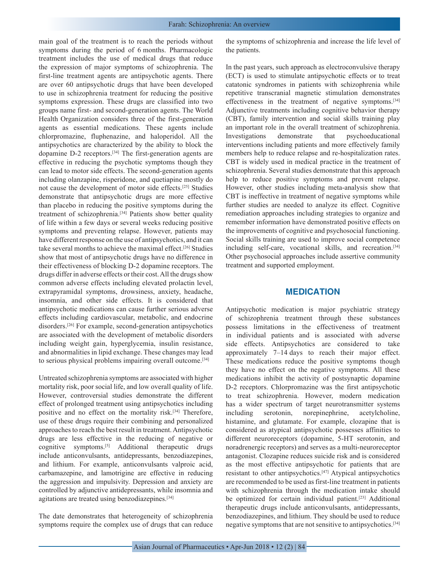main goal of the treatment is to reach the periods without symptoms during the period of 6 months. Pharmacologic treatment includes the use of medical drugs that reduce the expression of major symptoms of schizophrenia. The first-line treatment agents are antipsychotic agents. There are over 60 antipsychotic drugs that have been developed to use in schizophrenia treatment for reducing the positive symptoms expression. These drugs are classified into two groups name first- and second-generation agents. The World Health Organization considers three of the first-generation agents as essential medications. These agents include chlorpromazine, fluphenazine, and haloperidol. All the antipsychotics are characterized by the ability to block the dopamine D-2 receptors.[34] The first-generation agents are effective in reducing the psychotic symptoms though they can lead to motor side effects. The second-generation agents including olanzapine, risperidone, and quetiapine mostly do not cause the development of motor side effects.[25] Studies demonstrate that antipsychotic drugs are more effective than placebo in reducing the positive symptoms during the treatment of schizophrenia.[34] Patients show better quality of life within a few days or several weeks reducing positive symptoms and preventing relapse. However, patients may have different response on the use of antipsychotics, and it can take several months to achieve the maximal effect.[26] Studies show that most of antipsychotic drugs have no difference in their effectiveness of blocking D-2 dopamine receptors. The drugs differ in adverse effects or their cost. All the drugs show common adverse effects including elevated prolactin level, extrapyramidal symptoms, drowsiness, anxiety, headache, insomnia, and other side effects. It is considered that antipsychotic medications can cause further serious adverse effects including cardiovascular, metabolic, and endocrine disorders.[26] For example, second-generation antipsychotics are associated with the development of metabolic disorders including weight gain, hyperglycemia, insulin resistance, and abnormalities in lipid exchange. These changes may lead to serious physical problems impairing overall outcome.[34]

Untreated schizophrenia symptoms are associated with higher mortality risk, poor social life, and low overall quality of life. However, controversial studies demonstrate the different effect of prolonged treatment using antipsychotics including positive and no effect on the mortality risk.[34] Therefore, use of these drugs require their combining and personalized approaches to reach the best result in treatment. Antipsychotic drugs are less effective in the reducing of negative or cognitive symptoms.[5] Additional therapeutic drugs include anticonvulsants, antidepressants, benzodiazepines, and lithium. For example, anticonvulsants valproic acid, carbamazepine, and lamotrigine are effective in reducing the aggression and impulsivity. Depression and anxiety are controlled by adjunctive antidepressants, while insomnia and agitations are treated using benzodiazepines.[34]

The date demonstrates that heterogeneity of schizophrenia symptoms require the complex use of drugs that can reduce

the symptoms of schizophrenia and increase the life level of the patients.

In the past years, such approach as electroconvulsive therapy (ECT) is used to stimulate antipsychotic effects or to treat catatonic syndromes in patients with schizophrenia while repetitive transcranial magnetic stimulation demonstrates effectiveness in the treatment of negative symptoms.[34] Adjunctive treatments including cognitive behavior therapy (CBT), family intervention and social skills training play an important role in the overall treatment of schizophrenia. Investigations demonstrate that psychoeducational interventions including patients and more effectively family members help to reduce relapse and re-hospitalization rates. CBT is widely used in medical practice in the treatment of schizophrenia. Several studies demonstrate that this approach help to reduce positive symptoms and prevent relapse. However, other studies including meta-analysis show that CBT is ineffective in treatment of negative symptoms while further studies are needed to analyze its effect. Cognitive remediation approaches including strategies to organize and remember information have demonstrated positive effects on the improvements of cognitive and psychosocial functioning. Social skills training are used to improve social competence including self-care, vocational skills, and recreation.<sup>[34]</sup> Other psychosocial approaches include assertive community treatment and supported employment.

#### **MEDICATION**

Antipsychotic medication is major psychiatric strategy of schizophrenia treatment through these substances possess limitations in the effectiveness of treatment in individual patients and is associated with adverse side effects. Antipsychotics are considered to take approximately 7–14 days to reach their major effect. These medications reduce the positive symptoms though they have no effect on the negative symptoms. All these medications inhibit the activity of postsynaptic dopamine D-2 receptors. Chlorpromazine was the first antipsychotic to treat schizophrenia. However, modern medication has a wider spectrum of target neurotransmitter systems including serotonin, norepinephrine, acetylcholine, histamine, and glutamate. For example, clozapine that is considered as atypical antipsychotic possesses affinities to different neuroreceptors (dopamine, 5-HT serotonin, and noradrenergic receptors) and serves as a multi-neuroreceptor antagonist. Clozapine reduces suicide risk and is considered as the most effective antipsychotic for patients that are resistant to other antipsychotics.[47] Atypical antipsychotics are recommended to be used as first-line treatment in patients with schizophrenia through the medication intake should be optimized for certain individual patient.<sup>[23]</sup> Additional therapeutic drugs include anticonvulsants, antidepressants, benzodiazepines, and lithium. They should be used to reduce negative symptoms that are not sensitive to antipsychotics.[34]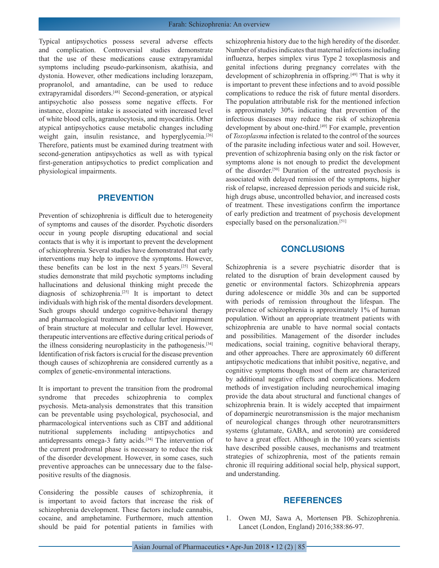Typical antipsychotics possess several adverse effects and complication. Controversial studies demonstrate that the use of these medications cause extrapyramidal symptoms including pseudo-parkinsonism, akathisia, and dystonia. However, other medications including lorazepam, propranolol, and amantadine, can be used to reduce extrapyramidal disorders.[48] Second-generation, or atypical antipsychotic also possess some negative effects. For instance, clozapine intake is associated with increased level of white blood cells, agranulocytosis, and myocarditis. Other atypical antipsychotics cause metabolic changes including weight gain, insulin resistance, and hyperglycemia.<sup>[26]</sup> Therefore, patients must be examined during treatment with second-generation antipsychotics as well as with typical first-generation antipsychotics to predict complication and physiological impairments.

#### **PREVENTION**

Prevention of schizophrenia is difficult due to heterogeneity of symptoms and causes of the disorder. Psychotic disorders occur in young people disrupting educational and social contacts that is why it is important to prevent the development of schizophrenia. Several studies have demonstrated that early interventions may help to improve the symptoms. However, these benefits can be lost in the next 5 years.[25] Several studies demonstrate that mild psychotic symptoms including hallucinations and delusional thinking might precede the diagnosis of schizophrenia.[25] It is important to detect individuals with high risk of the mental disorders development. Such groups should undergo cognitive-behavioral therapy and pharmacological treatment to reduce further impairment of brain structure at molecular and cellular level. However, therapeutic interventions are effective during critical periods of the illness considering neuroplasticity in the pathogenesis.[34] Identification of risk factors is crucial for the disease prevention though causes of schizophrenia are considered currently as a complex of genetic-environmental interactions.

It is important to prevent the transition from the prodromal syndrome that precedes schizophrenia to complex psychosis. Meta-analysis demonstrates that this transition can be preventable using psychological, psychosocial, and pharmacological interventions such as CBT and additional nutritional supplements including antipsychotics and antidepressants omega-3 fatty acids.[34] The intervention of the current prodromal phase is necessary to reduce the risk of the disorder development. However, in some cases, such preventive approaches can be unnecessary due to the falsepositive results of the diagnosis.

Considering the possible causes of schizophrenia, it is important to avoid factors that increase the risk of schizophrenia development. These factors include cannabis, cocaine, and amphetamine. Furthermore, much attention should be paid for potential patients in families with

schizophrenia history due to the high heredity of the disorder. Number of studies indicates that maternal infections including influenza, herpes simplex virus Type 2 toxoplasmosis and genital infections during pregnancy correlates with the development of schizophrenia in offspring.<sup>[49]</sup> That is why it is important to prevent these infections and to avoid possible complications to reduce the risk of future mental disorders. The population attributable risk for the mentioned infection is approximately 30% indicating that prevention of the infectious diseases may reduce the risk of schizophrenia development by about one-third.<sup>[49]</sup> For example, prevention of *Toxoplasma* infection is related to the control of the sources of the parasite including infectious water and soil. However, prevention of schizophrenia basing only on the risk factor or symptoms alone is not enough to predict the development of the disorder.[50] Duration of the untreated psychosis is associated with delayed remission of the symptoms, higher risk of relapse, increased depression periods and suicide risk, high drugs abuse, uncontrolled behavior, and increased costs of treatment. These investigations confirm the importance of early prediction and treatment of psychosis development especially based on the personalization.[51]

#### **CONCLUSIONS**

Schizophrenia is a severe psychiatric disorder that is related to the disruption of brain development caused by genetic or environmental factors. Schizophrenia appears during adolescence or middle 30s and can be supported with periods of remission throughout the lifespan. The prevalence of schizophrenia is approximately 1% of human population. Without an appropriate treatment patients with schizophrenia are unable to have normal social contacts and possibilities. Management of the disorder includes medications, social training, cognitive behavioral therapy, and other approaches. There are approximately 60 different antipsychotic medications that inhibit positive, negative, and cognitive symptoms though most of them are characterized by additional negative effects and complications. Modern methods of investigation including neurochemical imaging provide the data about structural and functional changes of schizophrenia brain. It is widely accepted that impairment of dopaminergic neurotransmission is the major mechanism of neurological changes through other neurotransmitters systems (glutamate, GABA, and serotonin) are considered to have a great effect. Although in the 100 years scientists have described possible causes, mechanisms and treatment strategies of schizophrenia, most of the patients remain chronic ill requiring additional social help, physical support, and understanding.

#### **REFERENCES**

1. Owen MJ, Sawa A, Mortensen PB. Schizophrenia. Lancet (London, England) 2016;388:86-97.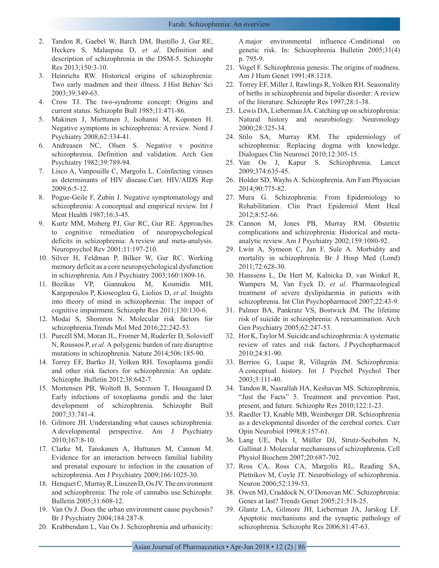- 2. Tandon R, Gaebel W, Barch DM, Bustillo J, Gur RE, Heckers S, Malaspina D, *et al*. Definition and description of schizophrenia in the DSM-5. Schizophr Res 2013;150:3-10.
- 3. Heinrichs RW. Historical origins of schizophrenia: Two early madmen and their illness. J Hist Behav Sci 2003;39:349-63.
- 4. Crow TJ. The two-syndrome concept: Origins and current status. Schizophr Bull 1985;11:471-86.
- 5. Makinen J, Miettunen J, Isohanni M, Koponen H. Negative symptoms in schizophrenia: A review. Nord J Psychiatry 2008;62:334-41.
- 6. Andreasen NC, Olsen S. Negative v positive schizophrenia. Definition and validation. Arch Gen Psychiatry 1982;39:789-94.
- 7. Lisco A, Vanpouille C, Margolis L. Coinfecting viruses as determinants of HIV disease.Curr. HIV/AIDS Rep 2009;6:5-12.
- 8. Pogue-Geile F, Zubin J. Negative symptomatology and schizophrenia: A conceptual and empirical review. Int J Ment Health 1987;16:3-45.
- 9. Kurtz MM, Moberg PJ, Gur RC, Gur RE. Approaches to cognitive remediation of neuropsychological deficits in schizophrenia: A review and meta-analysis. Neuropsychol Rev 2001;11:197-210.
- 10. Silver H, Feldman P, Bilker W, Gur RC. Working memory deficit as a core neuropsychological dysfunction in schizophrenia. Am J Psychiatry 2003;160:1809-16.
- 11. Bozikas VP, Giannakou M, Kosmidis MH, Kargopoulos P, Kioseoglou G, Liolios D, *et al*. Insights into theory of mind in schizophrenia: The impact of cognitive impairment. Schizophr Res 2011;130:130-6.
- 12. Modai S, Shomron N. Molecular risk factors for schizophrenia.Trends Mol Med 2016;22:242-53.
- 13. Purcell SM, Moran JL, Fromer M, Ruderfer D, Solovieff N, Roussos P, *et al*. A polygenic burden of rare disruptive mutations in schizophrenia. Nature 2014;506:185-90.
- 14. Torrey EF, Bartko JJ, Yolken RH. Toxoplasma gondii and other risk factors for schizophrenia: An update. Schizophr. Bulletin 2012;38:642-7.
- 15. Mortensen PB, Woltoft B, Sorensen T, Houagaard D. Early infections of toxoplasma gondii and the later development of schizophrenia. Schizophr Bull 2007;33:741-4.
- 16. Gilmore JH. Understanding what causes schizophrenia: A developmental perspective. Am J Psychiatry 2010;167:8-10.
- 17. Clarke M, Tanskanen A, Huttunen M, Cannon M. Evidence for an interaction between familial liability and prenatal exposure to infection in the causation of schizophrenia. Am J Psychiatry 2009;166:1025-30.
- 18. Henquet C, Murray R, Linszen D, Os JV. The environment and schizophrenia: The role of cannabis use.Schizophr. Bulletin 2005;31:608-12.
- 19. Van Os J. Does the urban environment cause psychosis? Br J Psychiatry 2004;184:287-8.
- 20. Krabbendam L, Van Os J. Schizophrenia and urbanicity:

A major environmental influence -Conditional on genetic risk. In: Schizophrenia Bulletin 2005;31(4) p. 795-9.

- 21. Vogel F. Schizophrenia genesis: The origins of madness. Am J Hum Genet 1991;48:1218.
- 22. Torrey EF, Miller J, Rawlings R, Yolken RH. Seasonality of births in schizophrenia and bipolar disorder: A review of the literature. Schizophr Res 1997;28:1-38.
- 23. Lewis DA, Lieberman JA. Catching up on schizophrenia: Natural history and neurobiology. Neuronology 2000;28:325-34.
- 24. Stilo SA, Murray RM. The epidemiology of schizophrenia: Replacing dogma with knowledge. Dialogues Clin Neurosci 2010;12:305-15.
- 25. Van Os J, Kapur S. Schizophrenia. Lancet 2009;374:635-45.
- 26. Holder SD, Wayhs A. Schizophrenia. Am Fam Physician 2014;90:775-82.
- 27. Mura G. Schizophrenia: From Epidemiology to Rehabilitation. Clin Pract Epidemiol Ment Heal 2012;8:52-66.
- 28. Cannon M, Jones PB, Murray RM. Obstetric complications and schizophrenia: Historical and metaanalytic review. Am J Psychiatry 2002;159:1080-92.
- 29. Lwin A, Symeon C, Jan F, Sule A. Morbidity and mortality in schizophrenia. Br J Hosp Med (Lond) 2011;72:628-30.
- 30. Hanssens L, De Hert M, Kalnicka D, van Winkel R, Wampers M, Van Eyck D, *et al*. Pharmacological treatment of severe dyslipidaemia in patients with schizophrenia. Int Clin Psychopharmacol 2007;22:43-9.
- 31. Palmer BA, Pankratz VS, Bostwick JM. The lifetime risk of suicide in schizophrenia: A reexamination. Arch Gen Psychiatry 2005;62:247-53.
- 32. Hor K, Taylor M. Suicide and schizophrenia: A systematic review of rates and risk factors. J Psychopharmacol 2010;24:81-90.
- 33. Berrios G, Luque R, Villagrán JM. Schizophrenia: A conceptual history. Int J Psychol Psychol Ther 2003;3:111-40.
- 34. Tandon R, Nasrallah HA, Keshavan MS. Schizophrenia, "Just the Facts" 5. Treatment and prevention Past, present, and future. Schizophr Res 2010;122:1-23.
- 35. Raedler TJ, Knable MB, Weinberger DR. Schizophrenia as a developmental disorder of the cerebral cortex. Curr Opin Neurobiol 1998;8:157-61.
- 36. Lang UE, Puls I, Müller DJ, Strutz-Seebohm N, Gallinat J. Molecular mechanisms of schizophrenia. Cell Physiol Biochem 2007;20:687-702.
- 37. Ross CA, Ross CA, Margolis RL, Reading SA, Pletnikov M, Coyle JT. Neurobiology of schizophrenia. Neuron 2006;52:139-53.
- 38. Owen MJ, Craddock N, O'Donovan MC. Schizophrenia: Genes at last? Trends Genet 2005;21:518-25.
- 39. Glantz LA, Gilmore JH, Lieberman JA, Jarskog LF. Apoptotic mechanisms and the synaptic pathology of schizophrenia. Schizophr Res 2006;81:47-63.